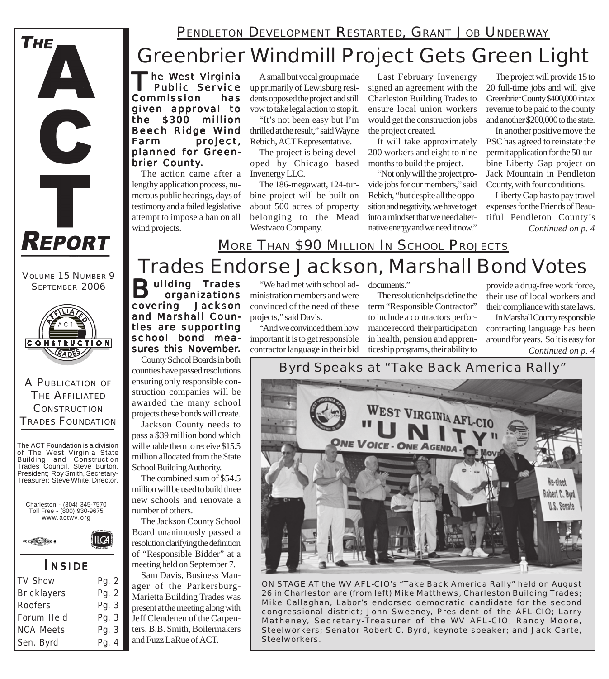## Greenbrier Windmill Project Gets Green Light

he West Virginia<br>Public Service<br>mmission has Public Service Commission given approval to the \$300 million Beech Ridge Wind Farm project, planned for Greenbrier County.

The action came after a lengthy application process, numerous public hearings, days of testimony and a failed legislative attempt to impose a ban on all wind projects.

A small but vocal group made up primarily of Lewisburg residents opposed the project and still vow to take legal action to stop it.

"It's not been easy but I'm thrilled at the result," said Wayne Rebich, ACT Representative.

The project is being developed by Chicago based Invenergy LLC.

The 186-megawatt, 124-turbine project will be built on about 500 acres of property belonging to the Mead Westvaco Company.

Last February Invenergy signed an agreement with the Charleston Building Trades to ensure local union workers would get the construction jobs the project created.

It will take approximately 200 workers and eight to nine months to build the project.

"Not only will the project provide jobs for our members," said Rebich, "but despite all the opposition and negativity, we have to get into a mindset that we need alternative energy and we need it now."

The project will provide 15 to 20 full-time jobs and will give Greenbrier County \$400,000 in tax revenue to be paid to the county and another \$200,000 to the state.

In another positive move the PSC has agreed to reinstate the permit application for the 50-turbine Liberty Gap project on Jack Mountain in Pendleton County, with four conditions.

*Continued on p. 4* Liberty Gap has to pay travel expenses for the Friends of Beautiful Pendleton County's

## Trades Endorse Jackson, Marshall Bond Votes MORE THAN \$90 MILLION IN SCHOOL PROJECTS

**Building Trades**<br>Covering Jackson organizations covering and Marshall Counties are supporting school bond measures this November.

County School Boards in both counties have passed resolutions ensuring only responsible construction companies will be awarded the many school projects these bonds will create.

Jackson County needs to pass a \$39 million bond which will enable them to receive \$15.5 million allocated from the State School Building Authority.

The combined sum of \$54.5 million will be used to build three new schools and renovate a number of others.

The Jackson County School Board unanimously passed a resolution clarifying the definition of "Responsible Bidder" at a meeting held on September 7.

Sam Davis, Business Manager of the Parkersburg-Marietta Building Trades was present at the meeting along with Jeff Clendenen of the Carpenters, B.B. Smith, Boilermakers and Fuzz LaRue of ACT.

"We had met with school administration members and were convinced of the need of these projects," said Davis.

"And we convinced them how important it is to get responsible contractor language in their bid

documents."

The resolution helps define the term "Responsible Contractor" to include a contractors performance record, their participation in health, pension and apprenticeship programs, their ability to

provide a drug-free work force, their use of local workers and their compliance with state laws.

*Continued on p. 4* In Marshall County responsible contracting language has been around for years. So it is easy for

## *Byrd Speaks at "Take Back America Rally"*



*ON STAGE AT the WV AFL-CIO's "Take Back America Rally" held on August 26 in Charleston are (from left) Mike Matthews, Charleston Building Trades; Mike Callaghan, Labor's endorsed democratic candidate for the second congressional district; John Sweeney, President of the AFL-CIO; Larry Matheney, Secretary-Treasurer of the WV AFL-CIO; Randy Moore, Steelworkers; Senator Robert C. Byrd, keynote speaker; and Jack Carte, Steelworkers.*



C

T

**REPORT** 

**THE** 



A PUBLICATION OF THE AFFILIATED **CONSTRUCTION** TRADES FOUNDATION

The ACT Foundation is a division of The West Virginia State Building and Construction Trades Council. Steve Burton, President; Roy Smith, Secretary-Treasurer; Steve White, Director.





### *I NSIDE*

| <b>TV Show</b>     | Pg. 2   |
|--------------------|---------|
| <b>Bricklayers</b> | Pg. 2   |
| Roofers            | Pg. $3$ |
| Forum Held         | Pg. 3   |
| <b>NCA Meets</b>   | Pg. 3   |
| Sen. Byrd          | Pg. 4   |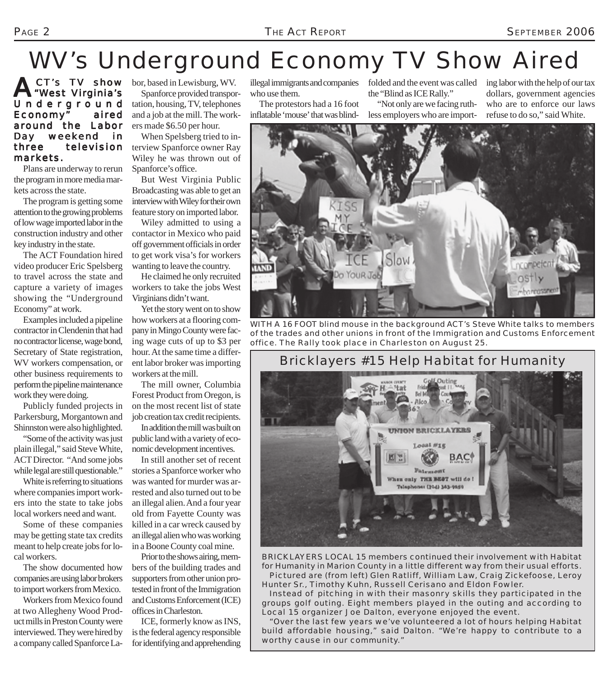# WV's Underground Economy TV Show Aired

ACT's TV show Underground Economy" aired around the Labor Day weekend in three television markets.

Plans are underway to rerun the program in more media markets across the state.

The program is getting some attention to the growing problems of low wage imported labor in the construction industry and other key industry in the state.

The ACT Foundation hired video producer Eric Spelsberg to travel across the state and capture a variety of images showing the "Underground Economy" at work.

Examples included a pipeline contractor in Clendenin that had no contractor license, wage bond, Secretary of State registration, WV workers compensation, or other business requirements to perform the pipeline maintenance work they were doing.

Publicly funded projects in Parkersburg, Morgantown and Shinnston were also highlighted.

"Some of the activity was just plain illegal," said Steve White, ACT Director. "And some jobs while legal are still questionable."

White is referring to situations where companies import workers into the state to take jobs local workers need and want.

Some of these companies may be getting state tax credits meant to help create jobs for local workers.

The show documented how companies are using labor brokers to import workers from Mexico.

Workers from Mexico found at two Allegheny Wood Product mills in Preston County were interviewed. They were hired by a company called Spanforce La-

CT's TV show bor, based in Lewisburg, WV. Spanforce provided transportation, housing, TV, telephones

and a job at the mill. The workers made \$6.50 per hour.

When Spelsberg tried to interview Spanforce owner Ray Wiley he was thrown out of Spanforce's office.

But West Virginia Public Broadcasting was able to get an interview with Wiley for their own feature story on imported labor.

Wiley admitted to using a contactor in Mexico who paid off government officials in order to get work visa's for workers wanting to leave the country.

He claimed he only recruited workers to take the jobs West Virginians didn't want.

Yet the story went on to show how workers at a flooring company in Mingo County were facing wage cuts of up to \$3 per hour. At the same time a different labor broker was importing workers at the mill.

The mill owner, Columbia Forest Product from Oregon, is on the most recent list of state job creation tax credit recipients.

In addition the mill was built on public land with a variety of economic development incentives.

In still another set of recent stories a Spanforce worker who was wanted for murder was arrested and also turned out to be an illegal alien. And a four year old from Fayette County was killed in a car wreck caused by an illegal alien who was working in a Boone County coal mine.

Prior to the shows airing, members of the building trades and supporters from other union protested in front of the Immigration and Customs Enforcement (ICE) offices in Charleston.

ICE, formerly know as INS, is the federal agency responsible for identifying and apprehending illegal immigrants and companies who use them.

The protestors had a 16 foot inflatable 'mouse' that was blindfolded and the event was called the "Blind as ICE Rally."

"Not only are we facing ruthless employers who are importing labor with the help of our tax dollars, government agencies who are to enforce our laws refuse to do so," said White.



*WITH A 16 FOOT blind mouse in the background ACT's Steve White talks to members of the trades and other unions in front of the Immigration and Customs Enforcement office. The Rally took place in Charleston on August 25.*

### *Bricklayers #15 Help Habitat for Humanity*



*BRICKLAYERS LOCAL 15 members continued their involvement with Habitat for Humanity in Marion County in a little different way from their usual efforts. Pictured are (from left) Glen Ratliff, William Law, Craig Zickefoose, Leroy Hunter Sr., Timothy Kuhn, Russell Cerisano and Eldon Fowler.*

*Instead of pitching in with their masonry skills they participated in the groups golf outing. Eight members played in the outing and according to Local 15 organizer Joe Dalton, everyone enjoyed the event.*

*"Over the last few years we've volunteered a lot of hours helping Habitat build affordable housing," said Dalton. "We're happy to contribute to a worthy cause in our community."*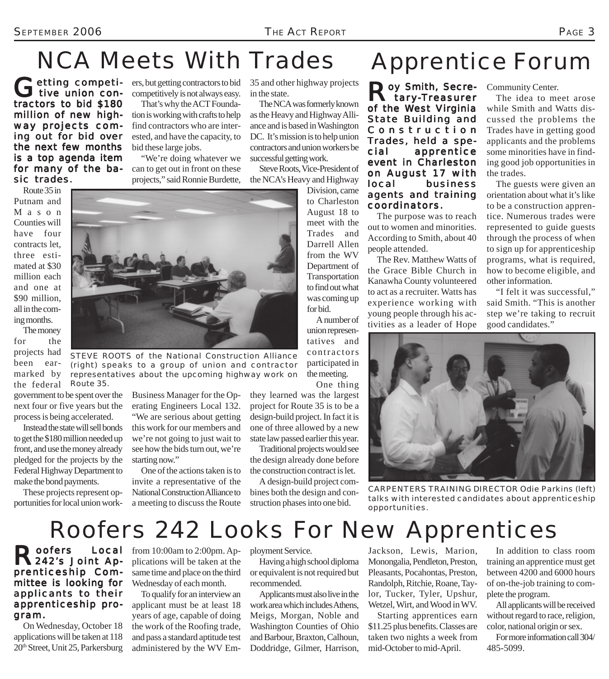# NCA Meets With Trades

Getting competi-<br>tive union contractors to bid \$180 million of new highway projects coming out for bid over the next few months is a top agenda item for many of the basic trades.

ers, but getting contractors to bid competitively is not always easy.

That's why the ACT Foundation is working with crafts to help find contractors who are interested, and have the capacity, to bid these large jobs.

"We're doing whatever we can to get out in front on these projects," said Ronnie Burdette,

35 and other highway projects in the state.

The NCA was formerly known as the Heavy and Highway Alliance and is based in Washington DC. It's mission is to help union contractors and union workers be successful getting work.

Steve Roots, Vice-President of the NCA's Heavy and Highway

> Division, came to Charleston August 18 to meet with the Trades and Darrell Allen from the WV Department of Transportation to find out what was coming up for bid.

A number of union representatives and contractors participated in the meeting. One thing

they learned was the largest project for Route 35 is to be a design-build project. In fact it is one of three allowed by a new state law passed earlier this year.

Traditional projects would see the design already done before the construction contract is let.

A design-build project combines both the design and construction phases into one bid.

# Apprentice Forum

Roy Smith, Secre- Community Center.<br>
The idea to me stary-Treasurer of the West Virginia State Building and Constr uction Trades, held a special apprentice event in Charleston on August 17 with local business agents and training coordinators.

The purpose was to reach out to women and minorities. According to Smith, about 40 people attended.

The Rev. Matthew Watts of the Grace Bible Church in Kanawha County volunteered to act as a recruiter. Watts has experience working with young people through his activities as a leader of Hope

The idea to meet arose while Smith and Watts dis-

cussed the problems the Trades have in getting good applicants and the problems some minorities have in finding good job opportunities in the trades.

The guests were given an orientation about what it's like to be a construction apprentice. Numerous trades were represented to guide guests through the process of when to sign up for apprenticeship programs, what is required, how to become eligible, and other information.

"I felt it was successful," said Smith. "This is another step we're taking to recruit good candidates."

*CARPENTERS TRAINING DIRECTOR Odie Parkins (left) talks with interested candidates about apprenticeship opportunities.*



*STEVE ROOTS of the National Construction Alliance (right) speaks to a group of union and contractor representatives about the upcoming highway work on Route 35.*

government to be spent over the next four or five years but the process is being accelerated.

ing months.

been earmarked by the federal

Instead the state will sell bonds to get the \$180 million needed up front, and use the money already pledged for the projects by the Federal Highway Department to make the bond payments.

These projects represent opportunities for local union workBusiness Manager for the Operating Engineers Local 132. "We are serious about getting this work for our members and we're not going to just wait to see how the bids turn out, we're starting now."

One of the actions taken is to invite a representative of the National Construction Alliance to a meeting to discuss the Route

Roofers 242 Looks For New Apprentices

Roofers Local<br>
R242's Joint Apprenticeship Committee is looking for applicants to their apprenticeship program.

On Wednesday, October 18 applications will be taken at 118 20th Street, Unit 25, Parkersburg

Local from 10:00am to 2:00pm. Applications will be taken at the same time and place on the third Wednesday of each month.

> To qualify for an interview an applicant must be at least 18 years of age, capable of doing the work of the Roofing trade, and pass a standard aptitude test administered by the WV Em

ployment Service.

Having a high school diploma or equivalent is not required but recommended.

Applicants must also live in the work area which includes Athens, Meigs, Morgan, Noble and Washington Counties of Ohio and Barbour, Braxton, Calhoun, Doddridge, Gilmer, Harrison, Jackson, Lewis, Marion, Monongalia, Pendleton, Preston, Pleasants, Pocahontas, Preston, Randolph, Ritchie, Roane, Taylor, Tucker, Tyler, Upshur, Wetzel, Wirt, and Wood in WV.

Starting apprentices earn \$11.25 plus benefits. Classes are taken two nights a week from mid-October to mid-April.

In addition to class room training an apprentice must get between 4200 and 6000 hours of on-the-job training to complete the program.

All applicants will be received without regard to race, religion, color, national origin or sex.

For more information call 304/ 485-5099.